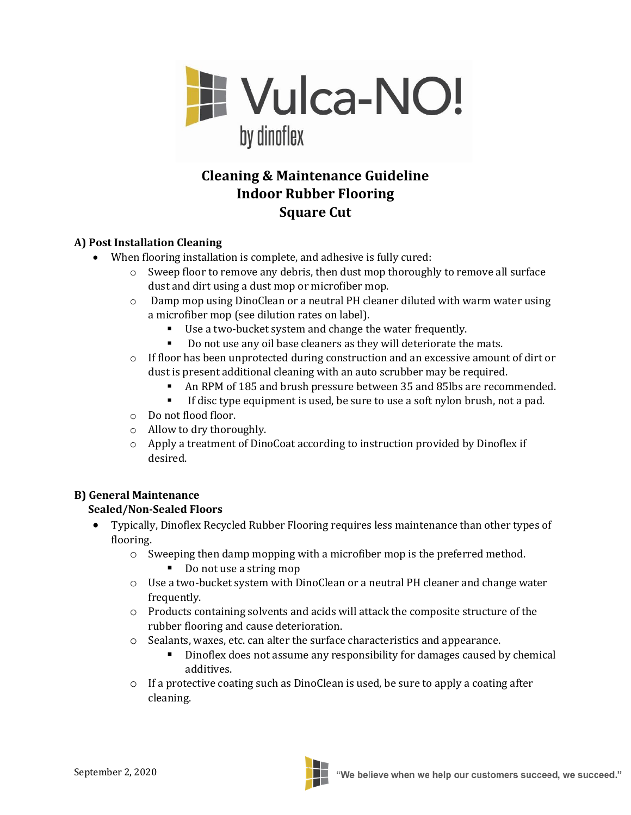

# **Cleaning & Maintenance Guideline Indoor Rubber Flooring Square Cut**

## **A) Post Installation Cleaning**

- When flooring installation is complete, and adhesive is fully cured:
	- $\circ$  Sweep floor to remove any debris, then dust mop thoroughly to remove all surface dust and dirt using a dust mop or microfiber mop.
	- o Damp mop using DinoClean or a neutral PH cleaner diluted with warm water using a microfiber mop (see dilution rates on label).
		- Use a two-bucket system and change the water frequently.
		- Do not use any oil base cleaners as they will deteriorate the mats.
	- $\circ$  If floor has been unprotected during construction and an excessive amount of dirt or dust is present additional cleaning with an auto scrubber may be required.
		- An RPM of 185 and brush pressure between 35 and 85lbs are recommended.
		- **•** If disc type equipment is used, be sure to use a soft nylon brush, not a pad.
	- o Do not flood floor.
	- o Allow to dry thoroughly.
	- o Apply a treatment of DinoCoat according to instruction provided by Dinoflex if desired.

### **B) General Maintenance**

### **Sealed/Non-Sealed Floors**

- Typically, Dinoflex Recycled Rubber Flooring requires less maintenance than other types of flooring.
	- o Sweeping then damp mopping with a microfiber mop is the preferred method.
		- Do not use a string mop
	- o Use a two-bucket system with DinoClean or a neutral PH cleaner and change water frequently.
	- $\circ$  Products containing solvents and acids will attack the composite structure of the rubber flooring and cause deterioration.
	- o Sealants, waxes, etc. can alter the surface characteristics and appearance.
		- **•** Dinoflex does not assume any responsibility for damages caused by chemical additives.
	- $\circ$  If a protective coating such as DinoClean is used, be sure to apply a coating after cleaning.